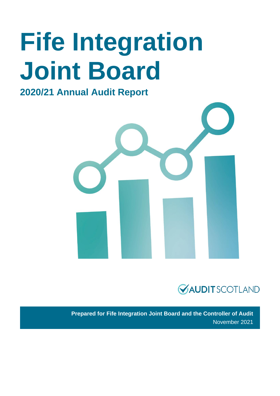# **Fife Integration Joint Board**

### **2020/21 Annual Audit Report**





**Prepared for Fife Integration Joint Board and the Controller of Audit**  November 2021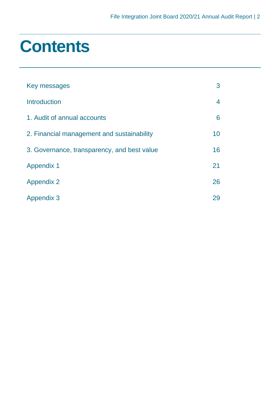### **Contents**

| Key messages                                | 3  |
|---------------------------------------------|----|
| Introduction                                | 4  |
| 1. Audit of annual accounts                 | 6  |
| 2. Financial management and sustainability  | 10 |
| 3. Governance, transparency, and best value | 16 |
| <b>Appendix 1</b>                           | 21 |
| <b>Appendix 2</b>                           | 26 |
| <b>Appendix 3</b>                           | 29 |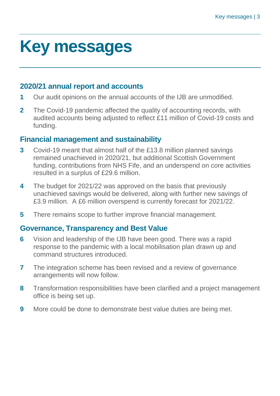### <span id="page-2-0"></span>**Key messages**

#### **2020/21 annual report and accounts**

- **1** Our audit opinions on the annual accounts of the IJB are unmodified.
- **2** The Covid-19 pandemic affected the quality of accounting records, with audited accounts being adjusted to reflect £11 million of Covid-19 costs and funding.

#### **Financial management and sustainability**

- **3** Covid-19 meant that almost half of the £13.8 million planned savings remained unachieved in 2020/21, but additional Scottish Government funding, contributions from NHS Fife, and an underspend on core activities resulted in a surplus of £29.6 million.
- **4** The budget for 2021/22 was approved on the basis that previously unachieved savings would be delivered, along with further new savings of £3.9 million. A £6 million overspend is currently forecast for 2021/22.
- **5** There remains scope to further improve financial management.

### **Governance, Transparency and Best Value**

- **6** Vision and leadership of the IJB have been good. There was a rapid response to the pandemic with a local mobilisation plan drawn up and command structures introduced.
- **7** The integration scheme has been revised and a review of governance arrangements will now follow.
- **8** Transformation responsibilities have been clarified and a project management office is being set up.
- **9** More could be done to demonstrate best value duties are being met.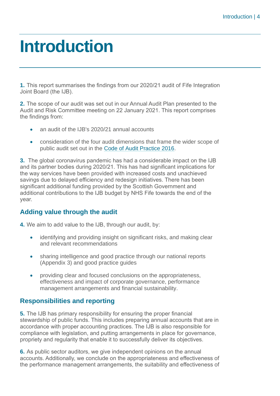### <span id="page-3-0"></span>**Introduction**

**1.** This report summarises the findings from our 2020/21 audit of Fife Integration Joint Board (the IJB).

**2.** The scope of our audit was set out in our Annual Audit Plan presented to the Audit and Risk Committee meeting on 22 January 2021. This report comprises the findings from:

- an audit of the IJB's 2020/21 annual accounts
- consideration of the four audit dimensions that frame the wider scope of public audit set out in the [Code of Audit Practice 2016.](http://www.audit-scotland.gov.uk/report/code-of-audit-practice-2016)

**3.** The global coronavirus pandemic has had a considerable impact on the IJB and its partner bodies during 2020/21. This has had significant implications for the way services have been provided with increased costs and unachieved savings due to delayed efficiency and redesign initiatives. There has been significant additional funding provided by the Scottish Government and additional contributions to the IJB budget by NHS Fife towards the end of the year.

#### **Adding value through the audit**

**4.** We aim to add value to the IJB, through our audit, by:

- identifying and providing insight on significant risks, and making clear and relevant recommendations
- sharing intelligence and good practice through our national reports [\(Appendix 3\)](#page-28-0) and good practice guides
- providing clear and focused conclusions on the appropriateness, effectiveness and impact of corporate governance, performance management arrangements and financial sustainability.

#### **Responsibilities and reporting**

**5.** The IJB has primary responsibility for ensuring the proper financial stewardship of public funds. This includes preparing annual accounts that are in accordance with proper accounting practices. The IJB is also responsible for compliance with legislation, and putting arrangements in place for governance, propriety and regularity that enable it to successfully deliver its objectives.

**6.** As public sector auditors, we give independent opinions on the annual accounts. Additionally, we conclude on the appropriateness and effectiveness of the performance management arrangements, the suitability and effectiveness of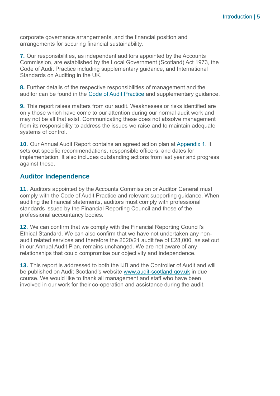corporate governance arrangements, and the financial position and arrangements for securing financial sustainability.

**7.** Our responsibilities, as independent auditors appointed by the Accounts Commission, are established by the Local Government (Scotland) Act 1973, the Code of Audit Practice including supplementary guidance, and International Standards on Auditing in the UK.

**8.** Further details of the respective responsibilities of management and the auditor can be found in the [Code of Audit Practice](https://www.audit-scotland.gov.uk/report/code-of-audit-practice-2016) and supplementary guidance.

**9.** This report raises matters from our audit. Weaknesses or risks identified are only those which have come to our attention during our normal audit work and may not be all that exist. Communicating these does not absolve management from its responsibility to address the issues we raise and to maintain adequate systems of control.

**10.** Our Annual Audit Report contains an agreed action plan at [Appendix 1.](#page-20-0) It sets out specific recommendations, responsible officers, and dates for implementation. It also includes outstanding actions from last year and progress against these.

#### **Auditor Independence**

**11.** Auditors appointed by the Accounts Commission or Auditor General must comply with the Code of Audit Practice and relevant supporting guidance. When auditing the financial statements, auditors must comply with professional standards issued by the Financial Reporting Council and those of the professional accountancy bodies.

**12.** We can confirm that we comply with the Financial Reporting Council's Ethical Standard. We can also confirm that we have not undertaken any nonaudit related services and therefore the 2020/21 audit fee of £28,000, as set out in our Annual Audit Plan, remains unchanged. We are not aware of any relationships that could compromise our objectivity and independence.

**13.** This report is addressed to both the IJB and the Controller of Audit and will be published on Audit Scotland's website [www.audit-scotland.gov.uk](http://www.audit-scotland.gov.uk/) in due course. We would like to thank all management and staff who have been involved in our work for their co-operation and assistance during the audit.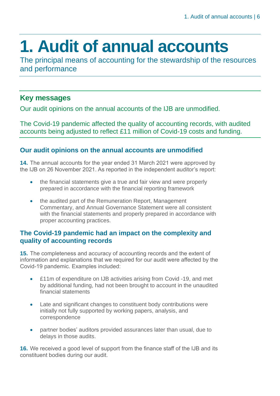## <span id="page-5-0"></span>**1. Audit of annual accounts**

The principal means of accounting for the stewardship of the resources and performance

#### **Key messages**

Our audit opinions on the annual accounts of the IJB are unmodified.

The Covid-19 pandemic affected the quality of accounting records, with audited accounts being adjusted to reflect £11 million of Covid-19 costs and funding.

#### **Our audit opinions on the annual accounts are unmodified**

**14.** The annual accounts for the year ended 31 March 2021 were approved by the IJB on 26 November 2021. As reported in the independent auditor's report:

- the financial statements give a true and fair view and were properly prepared in accordance with the financial reporting framework
- the audited part of the Remuneration Report, Management Commentary, and Annual Governance Statement were all consistent with the financial statements and properly prepared in accordance with proper accounting practices.

#### **The Covid-19 pandemic had an impact on the complexity and quality of accounting records**

**15.** The completeness and accuracy of accounting records and the extent of information and explanations that we required for our audit were affected by the Covid-19 pandemic. Examples included:

- £11m of expenditure on IJB activities arising from Covid -19, and met by additional funding, had not been brought to account in the unaudited financial statements
- Late and significant changes to constituent body contributions were initially not fully supported by working papers, analysis, and correspondence
- partner bodies' auditors provided assurances later than usual, due to delays in those audits.

**16.** We received a good level of support from the finance staff of the IJB and its constituent bodies during our audit.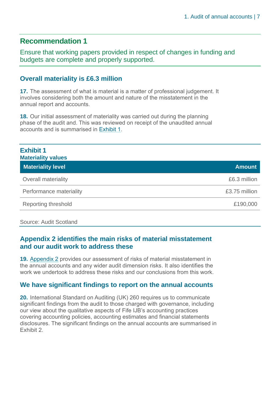### **Recommendation 1**

Ensure that working papers provided in respect of changes in funding and budgets are complete and properly supported.

#### **Overall materiality is £6.3 million**

**17.** The assessment of what is material is a matter of professional judgement. It involves considering both the amount and nature of the misstatement in the annual report and accounts.

**18.** Our initial assessment of materiality was carried out during the planning phase of the audit and. This was reviewed on receipt of the unaudited annual accounts and is summarised in Exhibit 1.

| <b>Exhibit 1</b><br><b>Materiality values</b> |               |
|-----------------------------------------------|---------------|
| <b>Materiality level</b>                      | <b>Amount</b> |
| Overall materiality                           | £6.3 million  |
| Performance materiality                       | £3.75 million |
| Reporting threshold                           | £190,000      |

Source: Audit Scotland

#### **Appendix 2 identifies the main risks of material misstatement and our audit work to address these**

**19.** [Appendix 2](#page-25-0) provides our assessment of risks of material misstatement in the annual accounts and any wider audit dimension risks. It also identifies the work we undertook to address these risks and our conclusions from this work.

#### **We have significant findings to report on the annual accounts**

**20.** International Standard on Auditing (UK) 260 requires us to communicate significant findings from the audit to those charged with governance, including our view about the qualitative aspects of Fife IJB's accounting practices covering accounting policies, accounting estimates and financial statements disclosures. The significant findings on the annual accounts are summarised in [Exhibit 2.](#page-7-0)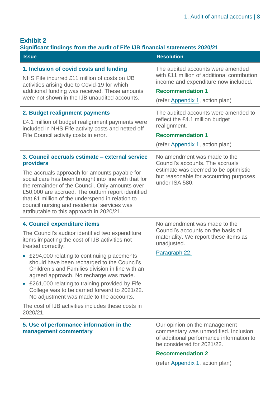<span id="page-7-0"></span>

| <b>Exhibit 2</b> |  |  |
|------------------|--|--|
|                  |  |  |
|                  |  |  |

| LAIIIJIL <i>L</i><br>Significant findings from the audit of Fife IJB financial statements 2020/21                                                                                                                                                                                                                                                                                                                                                                                                                                                                   |                                                                                                                                                                                                               |  |  |
|---------------------------------------------------------------------------------------------------------------------------------------------------------------------------------------------------------------------------------------------------------------------------------------------------------------------------------------------------------------------------------------------------------------------------------------------------------------------------------------------------------------------------------------------------------------------|---------------------------------------------------------------------------------------------------------------------------------------------------------------------------------------------------------------|--|--|
| <b>Issue</b>                                                                                                                                                                                                                                                                                                                                                                                                                                                                                                                                                        | <b>Resolution</b>                                                                                                                                                                                             |  |  |
| 1. Inclusion of covid costs and funding<br>NHS Fife incurred £11 million of costs on IJB<br>activities arising due to Covid-19 for which<br>additional funding was received. These amounts<br>were not shown in the IJB unaudited accounts.                                                                                                                                                                                                                                                                                                                         | The audited accounts were amended<br>with £11 million of additional contribution<br>income and expenditure now included.<br><b>Recommendation 1</b><br>(refer Appendix 1, action plan)                        |  |  |
| 2. Budget realignment payments<br>£4.1 million of budget realignment payments were<br>included in NHS Fife activity costs and netted off<br>Fife Council activity costs in error.                                                                                                                                                                                                                                                                                                                                                                                   | The audited accounts were amended to<br>reflect the £4.1 million budget<br>realignment.<br><b>Recommendation 1</b><br>(refer Appendix 1, action plan)                                                         |  |  |
| 3. Council accruals estimate - external service<br>providers<br>The accruals approach for amounts payable for<br>social care has been brought into line with that for<br>the remainder of the Council. Only amounts over<br>£50,000 are accrued. The outturn report identified<br>that £1 million of the underspend in relation to<br>council nursing and residential services was<br>attributable to this approach in 2020/21.                                                                                                                                     | No amendment was made to the<br>Council's accounts. The accruals<br>estimate was deemed to be optimistic<br>but reasonable for accounting purposes<br>under ISA 580.                                          |  |  |
| 4. Council expenditure items<br>The Council's auditor identified two expenditure<br>items impacting the cost of IJB activities not<br>treated correctly:<br>£294,000 relating to continuing placements<br>should have been recharged to the Council's<br>Children's and Families division in line with an<br>agreed approach. No recharge was made.<br>£261,000 relating to training provided by Fife<br>College was to be carried forward to 2021/22.<br>No adjustment was made to the accounts.<br>The cost of IJB activities includes these costs in<br>2020/21. | No amendment was made to the<br>Council's accounts on the basis of<br>materiality. We report these items as<br>unadjusted.<br>Paragraph 22.                                                                   |  |  |
| 5. Use of performance information in the<br>management commentary                                                                                                                                                                                                                                                                                                                                                                                                                                                                                                   | Our opinion on the management<br>commentary was unmodified. Inclusion<br>of additional performance information to<br>be considered for 2021/22.<br><b>Recommendation 2</b><br>(refer Appendix 1, action plan) |  |  |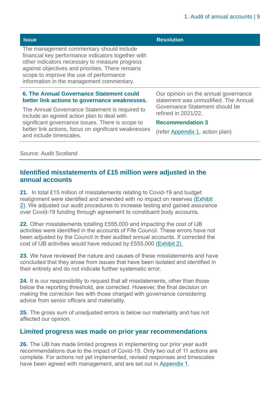| <b>Issue</b>                                                                                                                                                                                                                                                                                 | <b>Resolution</b>                                                            |  |
|----------------------------------------------------------------------------------------------------------------------------------------------------------------------------------------------------------------------------------------------------------------------------------------------|------------------------------------------------------------------------------|--|
| The management commentary should include<br>financial key performance indicators together with<br>other indicators necessary to measure progress<br>against objectives and priorities. There remains<br>scope to improve the use of performance<br>information in the management commentary. |                                                                              |  |
| 6. The Annual Governance Statement could<br>better link actions to governance weaknesses.                                                                                                                                                                                                    | Our opinion on the annual governance<br>statement was unmodified. The Annual |  |
| The Annual Governance Statement is required to<br>include an agreed action plan to deal with                                                                                                                                                                                                 | Governance Statement should be<br>refined in 2021/22.                        |  |
| significant governance issues. There is scope to                                                                                                                                                                                                                                             | <b>Recommendation 3</b>                                                      |  |
| better link actions, focus on significant weaknesses<br>and include timescales.                                                                                                                                                                                                              | (refer Appendix 1, action plan)                                              |  |
|                                                                                                                                                                                                                                                                                              |                                                                              |  |

#### Source: Audit Scotland

#### **Identified misstatements of £15 million were adjusted in the annual accounts**

**21.** In total £15 million of misstatements relating to Covid-19 and budget realignment were identified and amended with no impact on reserves (Exhibit 2). We adjusted our audit procedures to increase testing and gained assurance over Covid-19 funding through agreement to constituent body accounts.

**22.** Other misstatements totalling £555,000 and impacting the cost of IJB activities were identified in the accounts of Fife Council. These errors have not been adjusted by the Council in their audited annual accounts. If corrected the cost of IJB activities would have reduced by £555,000 (Exhibit 2).

**23.** We have reviewed the nature and causes of these misstatements and have concluded that they arose from issues that have been isolated and identified in their entirety and do not indicate further systematic error.

**24.** It is our responsibility to request that all misstatements, other than those below the reporting threshold, are corrected. However, the final decision on making the correction lies with those charged with governance considering advice from senior officers and materiality.

**25.** The gross sum of unadjusted errors is below our materiality and has not affected our opinion.

#### **Limited progress was made on prior year recommendations**

**26.** The IJB has made limited progress in implementing our prior year audit recommendations due to the impact of Covid-19. Only two out of 11 actions are complete. For actions not yet implemented, revised responses and timescales have been agreed with management, and are set out in [Appendix 1.](#page-20-0)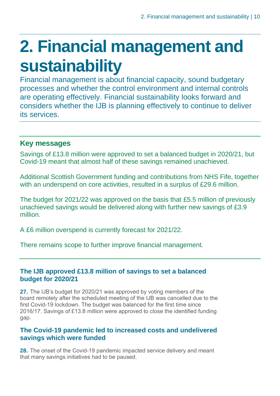## <span id="page-9-0"></span>**2. Financial management and sustainability**

Financial management is about financial capacity, sound budgetary processes and whether the control environment and internal controls are operating effectively. Financial sustainability looks forward and considers whether the IJB is planning effectively to continue to deliver its services.

#### **Key messages**

Savings of £13.8 million were approved to set a balanced budget in 2020/21, but Covid-19 meant that almost half of these savings remained unachieved.

Additional Scottish Government funding and contributions from NHS Fife, together with an underspend on core activities, resulted in a surplus of £29.6 million.

The budget for 2021/22 was approved on the basis that £5.5 million of previously unachieved savings would be delivered along with further new savings of £3.9 million.

A £6 million overspend is currently forecast for 2021/22.

There remains scope to further improve financial management.

#### **The IJB approved £13.8 million of savings to set a balanced budget for 2020/21**

**27.** The IJB's budget for 2020/21 was approved by voting members of the board remotely after the scheduled meeting of the IJB was cancelled due to the first Covid-19 lockdown. The budget was balanced for the first time since 2016/17. Savings of £13.8 million were approved to close the identified funding gap.

#### **The Covid-19 pandemic led to increased costs and undelivered savings which were funded**

**28.** The onset of the Covid-19 pandemic impacted service delivery and meant that many savings initiatives had to be paused.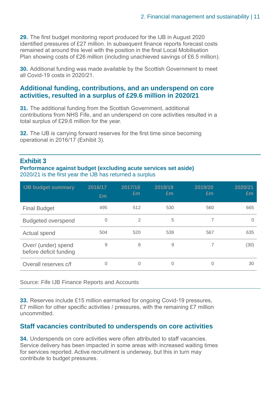**29.** The first budget monitoring report produced for the IJB in August 2020 identified pressures of £27 million. In subsequent finance reports forecast costs remained at around this level with the position in the final Local Mobilisation Plan showing costs of £26 million (including unachieved savings of £6.5 million).

**30.** Additional funding was made available by the Scottish Government to meet all Covid-19 costs in 2020/21.

#### **Additional funding, contributions, and an underspend on core activities, resulted in a surplus of £29.6 million in 2020/21**

**31.** The additional funding from the Scottish Government, additional contributions from NHS Fife, and an underspend on core activities resulted in a total surplus of £29.6 million for the year.

**32.** The IJB is carrying forward reserves for the first time since becoming operational in 2016/17 [\(Exhibit 3\)](#page-10-0).

#### <span id="page-10-0"></span>**Exhibit 3**

**Performance against budget (excluding acute services set aside)** 2020/21 is the first year the IJB has returned a surplus

| <b>IJB budget summary</b>                     | 2016/17<br>£m | 2017/18<br>£m | 2018/19<br>£m | 2019/20<br>£m | 2020/21<br>Em |
|-----------------------------------------------|---------------|---------------|---------------|---------------|---------------|
| <b>Final Budget</b>                           | 495           | 512           | 530           | 560           | 665           |
| <b>Budgeted overspend</b>                     | 0             | 2             | 5             |               | 0             |
| Actual spend                                  | 504           | 520           | 539           | 567           | 635           |
| Over/ (under) spend<br>before deficit funding | 9             | 8             | 9             | 7             | (30)          |
| Overall reserves c/f                          | 0             | 0             | 0             | 0             | 30            |

Source: Fife IJB Finance Reports and Accounts

**33.** Reserves include £15 million earmarked for ongoing Covid-19 pressures, £7 million for other specific activities / pressures, with the remaining £7 million uncommitted.

#### **Staff vacancies contributed to underspends on core activities**

**34.** Underspends on core activities were often attributed to staff vacancies. Service delivery has been impacted in some areas with increased waiting times for services reported. Active recruitment is underway, but this in turn may contribute to budget pressures.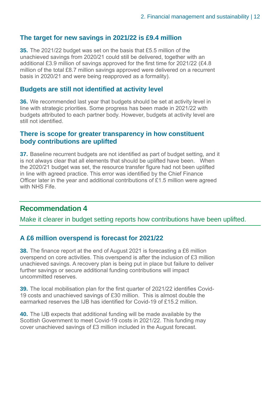#### **The target for new savings in 2021/22 is £9.4 million**

**35.** The 2021/22 budget was set on the basis that £5.5 million of the unachieved savings from 2020/21 could still be delivered, together with an additional £3.9 million of savings approved for the first time for 2021/22 (£4.8 million of the total £8.7 million savings approved were delivered on a recurrent basis in 2020/21 and were being reapproved as a formality).

#### **Budgets are still not identified at activity level**

**36.** We recommended last year that budgets should be set at activity level in line with strategic priorities. Some progress has been made in 2021/22 with budgets attributed to each partner body. However, budgets at activity level are still not identified.

#### **There is scope for greater transparency in how constituent body contributions are uplifted**

**37.** Baseline recurrent budgets are not identified as part of budget setting, and it is not always clear that all elements that should be uplifted have been. When the 2020/21 budget was set, the resource transfer figure had not been uplifted in line with agreed practice. This error was identified by the Chief Finance Officer later in the year and additional contributions of £1.5 million were agreed with NHS Fife.

#### **Recommendation 4**

Make it clearer in budget setting reports how contributions have been uplifted.

#### **A £6 million overspend is forecast for 2021/22**

**38.** The finance report at the end of August 2021 is forecasting a £6 million overspend on core activities. This overspend is after the inclusion of £3 million unachieved savings. A recovery plan is being put in place but failure to deliver further savings or secure additional funding contributions will impact uncommitted reserves.

**39.** The local mobilisation plan for the first quarter of 2021/22 identifies Covid-19 costs and unachieved savings of £30 million. This is almost double the earmarked reserves the IJB has identified for Covid-19 of £15.2 million.

**40.** The IJB expects that additional funding will be made available by the Scottish Government to meet Covid-19 costs in 2021/22. This funding may cover unachieved savings of £3 million included in the August forecast.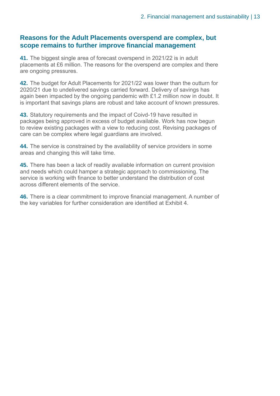#### **Reasons for the Adult Placements overspend are complex, but scope remains to further improve financial management**

**41.** The biggest single area of forecast overspend in 2021/22 is in adult placements at £6 million. The reasons for the overspend are complex and there are ongoing pressures.

**42.** The budget for Adult Placements for 2021/22 was lower than the outturn for 2020/21 due to undelivered savings carried forward. Delivery of savings has again been impacted by the ongoing pandemic with £1.2 million now in doubt. It is important that savings plans are robust and take account of known pressures.

**43.** Statutory requirements and the impact of Coivd-19 have resulted in packages being approved in excess of budget available. Work has now begun to review existing packages with a view to reducing cost. Revising packages of care can be complex where legal guardians are involved.

**44.** The service is constrained by the availability of service providers in some areas and changing this will take time.

**45.** There has been a lack of readily available information on current provision and needs which could hamper a strategic approach to commissioning. The service is working with finance to better understand the distribution of cost across different elements of the service.

**46.** There is a clear commitment to improve financial management. A number of the key variables for further consideration are identified at Exhibit 4.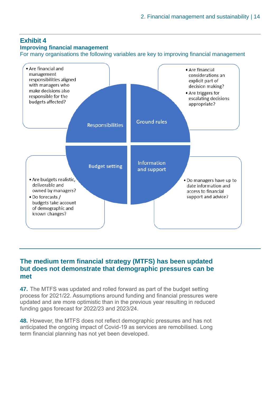#### **Exhibit 4**

#### **Improving financial management**

For many organisations the following variables are key to improving financial management



#### **The medium term financial strategy (MTFS) has been updated but does not demonstrate that demographic pressures can be met**

**47.** The MTFS was updated and rolled forward as part of the budget setting process for 2021/22. Assumptions around funding and financial pressures were updated and are more optimistic than in the previous year resulting in reduced funding gaps forecast for 2022/23 and 2023/24.

**48.** However, the MTFS does not reflect demographic pressures and has not anticipated the ongoing impact of Covid-19 as services are remobilised. Long term financial planning has not yet been developed.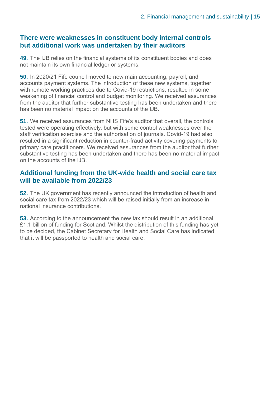#### **There were weaknesses in constituent body internal controls but additional work was undertaken by their auditors**

**49.** The IJB relies on the financial systems of its constituent bodies and does not maintain its own financial ledger or systems.

**50.** In 2020/21 Fife council moved to new main accounting; payroll; and accounts payment systems. The introduction of these new systems, together with remote working practices due to Covid-19 restrictions, resulted in some weakening of financial control and budget monitoring. We received assurances from the auditor that further substantive testing has been undertaken and there has been no material impact on the accounts of the IJB.

**51.** We received assurances from NHS Fife's auditor that overall, the controls tested were operating effectively, but with some control weaknesses over the staff verification exercise and the authorisation of journals. Covid-19 had also resulted in a significant reduction in counter-fraud activity covering payments to primary care practitioners. We received assurances from the auditor that further substantive testing has been undertaken and there has been no material impact on the accounts of the IJB.

#### **Additional funding from the UK-wide health and social care tax will be available from 2022/23**

**52.** The UK government has recently announced the introduction of health and social care tax from 2022/23 which will be raised initially from an increase in national insurance contributions.

**53.** According to the announcement the new tax should result in an additional £1.1 billion of funding for Scotland. Whilst the distribution of this funding has yet to be decided, the Cabinet Secretary for Health and Social Care has indicated that it will be passported to health and social care.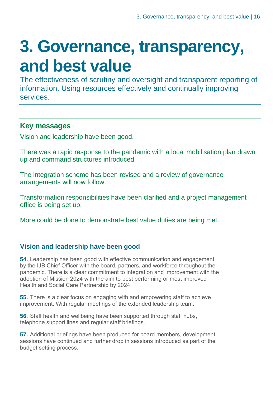## <span id="page-15-0"></span>**3. Governance, transparency, and best value**

The effectiveness of scrutiny and oversight and transparent reporting of information. Using resources effectively and continually improving services.

#### **Key messages**

Vision and leadership have been good.

There was a rapid response to the pandemic with a local mobilisation plan drawn up and command structures introduced.

The integration scheme has been revised and a review of governance arrangements will now follow.

Transformation responsibilities have been clarified and a project management office is being set up.

More could be done to demonstrate best value duties are being met.

#### **Vision and leadership have been good**

**54.** Leadership has been good with effective communication and engagement by the IJB Chief Officer with the board, partners, and workforce throughout the pandemic. There is a clear commitment to integration and improvement with the adoption of Mission 2024 with the aim to best performing or most improved Health and Social Care Partnership by 2024.

**55.** There is a clear focus on engaging with and empowering staff to achieve improvement. With regular meetings of the extended leadership team.

**56.** Staff health and wellbeing have been supported through staff hubs, telephone support lines and regular staff briefings.

**57.** Additional briefings have been produced for board members, development sessions have continued and further drop in sessions introduced as part of the budget setting process.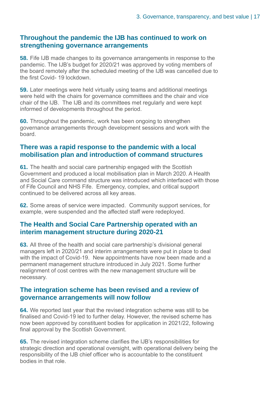#### **Throughout the pandemic the IJB has continued to work on strengthening governance arrangements**

**58.** Fife IJB made changes to its governance arrangements in response to the pandemic. The IJB's budget for 2020/21 was approved by voting members of the board remotely after the scheduled meeting of the IJB was cancelled due to the first Covid- 19 lockdown.

**59.** Later meetings were held virtually using teams and additional meetings were held with the chairs for governance committees and the chair and vice chair of the IJB. The IJB and its committees met regularly and were kept informed of developments throughout the period.

**60.** Throughout the pandemic, work has been ongoing to strengthen governance arrangements through development sessions and work with the board.

#### **There was a rapid response to the pandemic with a local mobilisation plan and introduction of command structures**

**61.** The health and social care partnership engaged with the Scottish Government and produced a local mobilisation plan in March 2020. A Health and Social Care command structure was introduced which interfaced with those of Fife Council and NHS Fife. Emergency, complex, and critical support continued to be delivered across all key areas.

**62.** Some areas of service were impacted. Community support services, for example, were suspended and the affected staff were redeployed.

#### **The Health and Social Care Partnership operated with an interim management structure during 2020-21**

**63.** All three of the health and social care partnership's divisional general managers left in 2020/21 and interim arrangements were put in place to deal with the impact of Covid-19. New appointments have now been made and a permanent management structure introduced in July 2021. Some further realignment of cost centres with the new management structure will be necessary.

#### **The integration scheme has been revised and a review of governance arrangements will now follow**

**64.** We reported last year that the revised integration scheme was still to be finalised and Covid-19 led to further delay. However, the revised scheme has now been approved by constituent bodies for application in 2021/22, following final approval by the Scottish Government.

**65.** The revised integration scheme clarifies the IJB's responsibilities for strategic direction and operational oversight, with operational delivery being the responsibility of the IJB chief officer who is accountable to the constituent bodies in that role.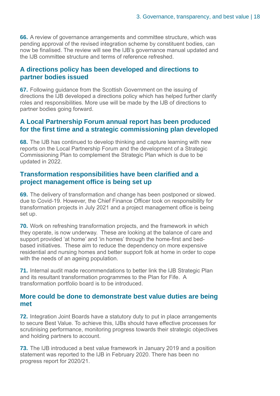**66.** A review of governance arrangements and committee structure, which was pending approval of the revised integration scheme by constituent bodies, can now be finalised. The review will see the IJB's governance manual updated and the IJB committee structure and terms of reference refreshed.

#### **A directions policy has been developed and directions to partner bodies issued**

**67.** Following guidance from the Scottish Government on the issuing of directions the IJB developed a directions policy which has helped further clarify roles and responsibilities. More use will be made by the IJB of directions to partner bodies going forward.

#### **A Local Partnership Forum annual report has been produced for the first time and a strategic commissioning plan developed**

**68.** The IJB has continued to develop thinking and capture learning with new reports on the Local Partnership Forum and the development of a Strategic Commissioning Plan to complement the Strategic Plan which is due to be updated in 2022.

#### **Transformation responsibilities have been clarified and a project management office is being set up**

**69.** The delivery of transformation and change has been postponed or slowed. due to Covid-19. However, the Chief Finance Officer took on responsibility for transformation projects in July 2021 and a project management office is being set up.

**70.** Work on refreshing transformation projects, and the framework in which they operate, is now underway. These are looking at the balance of care and support provided 'at home' and 'in homes' through the home-first and bedbased initiatives. These aim to reduce the dependency on more expensive residential and nursing homes and better support folk at home in order to cope with the needs of an ageing population.

**71.** Internal audit made recommendations to better link the IJB Strategic Plan and its resultant transformation programmes to the Plan for Fife. A transformation portfolio board is to be introduced.

#### **More could be done to demonstrate best value duties are being met**

**72.** Integration Joint Boards have a statutory duty to put in place arrangements to secure Best Value. To achieve this, IJBs should have effective processes for scrutinising performance, monitoring progress towards their strategic objectives and holding partners to account.

**73.** The IJB introduced a best value framework in January 2019 and a position statement was reported to the IJB in February 2020. There has been no progress report for 2020/21.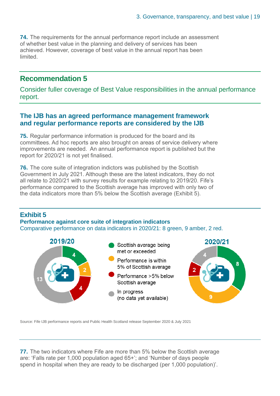**74.** The requirements for the annual performance report include an assessment of whether best value in the planning and delivery of services has been achieved. However, coverage of best value in the annual report has been limited.

#### **Recommendation 5**

Consider fuller coverage of Best Value responsibilities in the annual performance report.

#### **The IJB has an agreed performance management framework and regular performance reports are considered by the IJB**

**75.** Regular performance information is produced for the board and its committees. Ad hoc reports are also brought on areas of service delivery where improvements are needed. An annual performance report is published but the report for 2020/21 is not yet finalised.

**76.** The core suite of integration indictors was published by the Scottish Government in July 2021. Although these are the latest indicators, they do not all relate to 2020/21 with survey results for example relating to 2019/20. Fife's performance compared to the Scottish average has improved with only two of the data indicators more than 5% below the Scottish average (Exhibit 5).

#### **Exhibit 5**

**Performance against core suite of integration indicators** Comparative performance on data indicators in 2020/21: 8 green, 9 amber, 2 red.



Source: Fife IJB performance reports and Public Health Scotland release September 2020 & July 2021

**77.** The two indicators where Fife are more than 5% below the Scottish average are: 'Falls rate per 1,000 population aged 65+'; and 'Number of days people spend in hospital when they are ready to be discharged (per 1,000 population)'.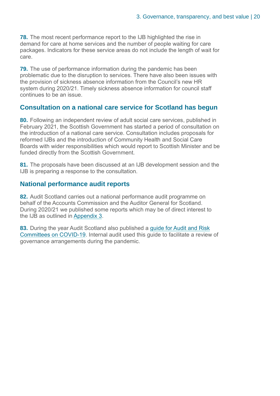**78.** The most recent performance report to the IJB highlighted the rise in demand for care at home services and the number of people waiting for care packages. Indicators for these service areas do not include the length of wait for care.

**79.** The use of performance information during the pandemic has been problematic due to the disruption to services. There have also been issues with the provision of sickness absence information from the Council's new HR system during 2020/21. Timely sickness absence information for council staff continues to be an issue.

#### **Consultation on a national care service for Scotland has begun**

**80.** Following an independent review of adult social care services, published in February 2021, the Scottish Government has started a period of consultation on the introduction of a national care service. Consultation includes proposals for reformed IJBs and the introduction of Community Health and Social Care Boards with wider responsibilities which would report to Scottish Minister and be funded directly from the Scottish Government.

**81.** The proposals have been discussed at an IJB development session and the IJB is preparing a response to the consultation.

#### **National performance audit reports**

**82.** Audit Scotland carries out a national performance audit programme on behalf of the Accounts Commission and the Auditor General for Scotland. During 2020/21 we published some reports which may be of direct interest to the IJB as outlined in [Appendix 3.](#page-28-0)

**83.** During the year Audit Scotland also published a [guide for Audit and Risk](https://www.audit-scotland.gov.uk/report/covid-19-guide-for-audit-and-risk-committees)  [Committees on COVID-19.](https://www.audit-scotland.gov.uk/report/covid-19-guide-for-audit-and-risk-committees) Internal audit used this guide to facilitate a review of governance arrangements during the pandemic.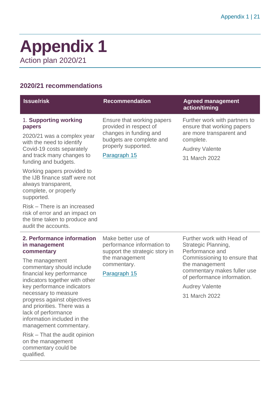### <span id="page-20-0"></span>**Appendix 1** Action plan 2020/21

#### **2020/21 recommendations**

| <b>Issue/risk</b>                                                                                                                                                                                                                                                                                                                                                           | <b>Recommendation</b>                                                                                                                             | <b>Agreed management</b><br>action/timing                                                                                                                                                                                     |
|-----------------------------------------------------------------------------------------------------------------------------------------------------------------------------------------------------------------------------------------------------------------------------------------------------------------------------------------------------------------------------|---------------------------------------------------------------------------------------------------------------------------------------------------|-------------------------------------------------------------------------------------------------------------------------------------------------------------------------------------------------------------------------------|
| 1. Supporting working<br>papers<br>2020/21 was a complex year<br>with the need to identify<br>Covid-19 costs separately<br>and track many changes to<br>funding and budgets.<br>Working papers provided to<br>the IJB finance staff were not<br>always transparent,<br>complete, or properly                                                                                | Ensure that working papers<br>provided in respect of<br>changes in funding and<br>budgets are complete and<br>properly supported.<br>Paragraph 15 | Further work with partners to<br>ensure that working papers<br>are more transparent and<br>complete.<br><b>Audrey Valente</b><br>31 March 2022                                                                                |
| supported.<br>Risk - There is an increased<br>risk of error and an impact on<br>the time taken to produce and<br>audit the accounts.                                                                                                                                                                                                                                        |                                                                                                                                                   |                                                                                                                                                                                                                               |
| 2. Performance information<br>in management<br>commentary<br>The management<br>commentary should include<br>financial key performance<br>indicators together with other<br>key performance indicators<br>necessary to measure<br>progress against objectives<br>and priorities. There was a<br>lack of performance<br>information included in the<br>management commentary. | Make better use of<br>performance information to<br>support the strategic story in<br>the management<br>commentary.<br>Paragraph 15               | Further work with Head of<br>Strategic Planning,<br>Performance and<br>Commissioning to ensure that<br>the management<br>commentary makes fuller use<br>of performance information.<br><b>Audrey Valente</b><br>31 March 2022 |

Risk – That the audit opinion on the management commentary could be qualified.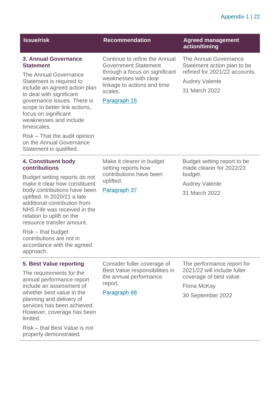#### Appendix 1 | 22

| <b>Recommendation</b>                                                                                                                                             | <b>Agreed management</b><br>action/timing                               |
|-------------------------------------------------------------------------------------------------------------------------------------------------------------------|-------------------------------------------------------------------------|
| Continue to refine the Annual<br><b>Government Statement</b><br>through a focus on significant<br>weaknesses with clear<br>linkage to actions and time<br>scales. | The Annual Governance<br>Statement action plan to be                    |
|                                                                                                                                                                   | refined for 2021/22 accounts.<br><b>Audrey Valente</b><br>31 March 2022 |
| Paragraph 15                                                                                                                                                      |                                                                         |
|                                                                                                                                                                   |                                                                         |
| Make it clearer in budget<br>setting reports how<br>contributions have been<br>uplifted.<br>Paragraph 37                                                          | Budget setting report to be<br>made clearer for 2022/23                 |
|                                                                                                                                                                   | budget.<br><b>Audrey Valente</b><br>31 March 2022                       |
|                                                                                                                                                                   |                                                                         |

Risk – that budget contributions are not in accordance with the agreed approach.

#### **5. Best Value reporting**

The requirements for the annual performance report include an assessment of whether best value in the planning and delivery of services has been achieved. However, coverage has been limited.

Risk – that Best Value is not properly demonstrated.

Consider fuller coverage of Best Value responsibilities in the annual performance report.

Paragraph 68

The performance report for 2021/22 will include fuller coverage of best value.

Fiona McKay

30 September 2022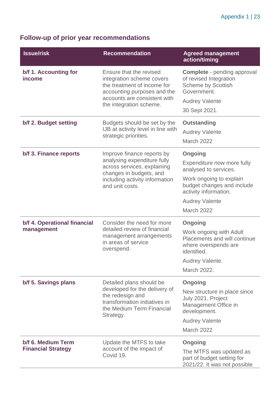### **Follow-up of prior year recommendations**

| <b>Issue/risk</b>                               | <b>Recommendation</b>                                                                                                                                                         | <b>Agreed management</b><br>action/timing                                                                                                                                               |
|-------------------------------------------------|-------------------------------------------------------------------------------------------------------------------------------------------------------------------------------|-----------------------------------------------------------------------------------------------------------------------------------------------------------------------------------------|
| b/f 1. Accounting for<br><i>income</i>          | Ensure that the revised<br>integration scheme covers<br>the treatment of income for<br>accounting purposes and the<br>accounts are consistent with<br>the integration scheme. | <b>Complete</b> - pending approval<br>of revised Integration<br><b>Scheme by Scottish</b><br>Government.<br><b>Audrey Valente</b><br>30 Sept 2021.                                      |
| b/f 2. Budget setting                           | Budgets should be set by the<br>IJB at activity level in line with<br>strategic priorities.                                                                                   | <b>Outstanding</b><br><b>Audrey Valente</b><br>March 2022                                                                                                                               |
| b/f 3. Finance reports                          | Improve finance reports by<br>analysing expenditure fully<br>across services, explaining<br>changes in budgets, and<br>including activity information<br>and unit costs.      | Ongoing<br>Expenditure now more fully<br>analysed to services.<br>Work ongoing to explain<br>budget changes and include<br>activity information.<br><b>Audrey Valente</b><br>March 2022 |
| b/f 4. Operational financial<br>management      | Consider the need for more<br>detailed review of financial<br>management arrangements<br>in areas of service<br>overspend.                                                    | Ongoing<br>Work ongoing with Adult<br>Placements and will continue<br>where overspends are<br>identified.<br>Audrey Valente.<br>March 2022.                                             |
| b/f 5. Savings plans                            | Detailed plans should be<br>developed for the delivery of<br>the redesign and<br>transformation initiatives in<br>the Medium Term Financial<br>Strategy.                      | <b>Ongoing</b><br>New structure in place since<br>July 2021. Project<br>Management Office in<br>development.<br><b>Audrey Valente</b><br><b>March 2022</b>                              |
| b/f 6. Medium Term<br><b>Financial Strategy</b> | Update the MTFS to take<br>account of the impact of<br>Covid 19.                                                                                                              | <b>Ongoing</b><br>The MTFS was updated as<br>part of budget setting for<br>2021/22. It was not possible                                                                                 |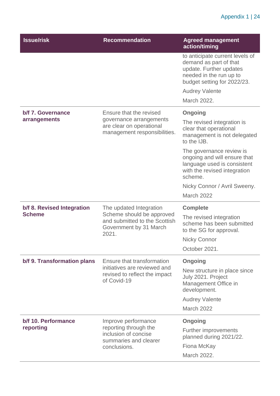#### Appendix 1 | 24

| <b>Issue/risk</b>                | <b>Recommendation</b>                                                                                         | <b>Agreed management</b><br>action/timing                                                                                                      |
|----------------------------------|---------------------------------------------------------------------------------------------------------------|------------------------------------------------------------------------------------------------------------------------------------------------|
|                                  |                                                                                                               | to anticipate current levels of<br>demand as part of that<br>update. Further updates<br>needed in the run up to<br>budget setting for 2022/23. |
|                                  |                                                                                                               | <b>Audrey Valente</b>                                                                                                                          |
|                                  |                                                                                                               | March 2022.                                                                                                                                    |
| b/f 7. Governance                | Ensure that the revised                                                                                       | Ongoing                                                                                                                                        |
| arrangements                     | governance arrangements<br>are clear on operational<br>management responsibilities.                           | The revised integration is<br>clear that operational<br>management is not delegated<br>to the IJB.                                             |
|                                  |                                                                                                               | The governance review is<br>ongoing and will ensure that<br>language used is consistent<br>with the revised integration<br>scheme.             |
|                                  |                                                                                                               | Nicky Connor / Avril Sweeny.                                                                                                                   |
|                                  |                                                                                                               | March 2022                                                                                                                                     |
| b/f 8. Revised Integration       | The updated Integration                                                                                       | <b>Complete</b>                                                                                                                                |
| <b>Scheme</b>                    | Scheme should be approved<br>and submitted to the Scottish<br>Government by 31 March<br>2021.                 | The revised integration<br>scheme has been submitted<br>to the SG for approval.                                                                |
|                                  |                                                                                                               | <b>Nicky Connor</b>                                                                                                                            |
|                                  |                                                                                                               | October 2021.                                                                                                                                  |
| b/f 9. Transformation plans      | Ensure that transformation                                                                                    | <b>Ongoing</b>                                                                                                                                 |
|                                  | initiatives are reviewed and<br>revised to reflect the impact<br>of Covid-19                                  | New structure in place since<br>July 2021. Project<br>Management Office in<br>development.                                                     |
|                                  |                                                                                                               | <b>Audrey Valente</b>                                                                                                                          |
|                                  |                                                                                                               | March 2022                                                                                                                                     |
| b/f 10. Performance<br>reporting | Improve performance<br>reporting through the<br>inclusion of concise<br>summaries and clearer<br>conclusions. | Ongoing<br><b>Further improvements</b><br>planned during 2021/22.<br>Fiona McKay<br>March 2022.                                                |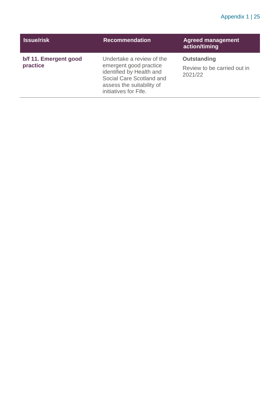#### Appendix 1 | 25

| <b>Issue/risk</b>                 | <b>Recommendation</b>                                                                                                                                             | <b>Agreed management</b><br>action/timing                    |
|-----------------------------------|-------------------------------------------------------------------------------------------------------------------------------------------------------------------|--------------------------------------------------------------|
| b/f 11. Emergent good<br>practice | Undertake a review of the<br>emergent good practice<br>identified by Health and<br>Social Care Scotland and<br>assess the suitability of<br>initiatives for Fife. | <b>Outstanding</b><br>Review to be carried out in<br>2021/22 |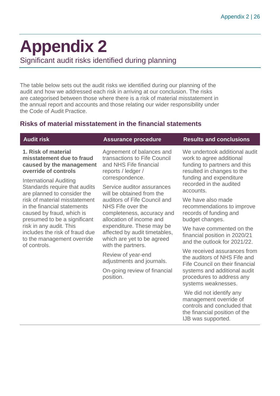## <span id="page-25-0"></span>**Appendix 2**

Significant audit risks identified during planning

The table below sets out the audit risks we identified during our planning of the audit and how we addressed each risk in arriving at our conclusion. The risks are categorised between those where there is a risk of material misstatement in the annual report and accounts and those relating our wider responsibility under the Code of Audit Practice.

#### **Risks of material misstatement in the financial statements**

#### **1. Risk of material misstatement due to fraud caused by the management override of controls**

International Auditing Standards require that audits are planned to consider the risk of material misstatement in the financial statements caused by fraud, which is presumed to be a significant risk in any audit. This includes the risk of fraud due to the management override of controls.

Agreement of balances and transactions to Fife Council and NHS Fife financial reports / ledger / correspondence.

Service auditor assurances will be obtained from the auditors of Fife Council and NHS Fife over the completeness, accuracy and allocation of income and expenditure. These may be affected by audit timetables, which are yet to be agreed with the partners.

Review of year-end adjustments and journals.

On-going review of financial position.

#### **Audit risk Assurance procedure Results and conclusions**

We undertook additional audit work to agree additional funding to partners and this resulted in changes to the funding and expenditure recorded in the audited accounts.

We have also made recommendations to improve records of funding and budget changes.

We have commented on the financial position in 2020/21 and the outlook for 2021/22.

We received assurances from the auditors of NHS Fife and Fife Council on their financial systems and additional audit procedures to address any systems weaknesses.

We did not identify any management override of controls and concluded that the financial position of the IJB was supported.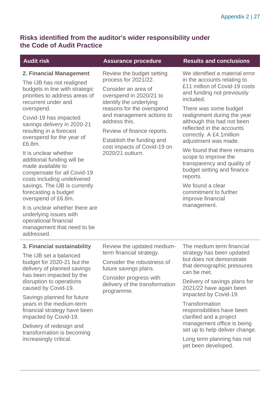#### **Risks identified from the auditor's wider responsibility under the Code of Audit Practice**

| <b>Audit risk</b>                                                                                                                                                                                                                                                                                                                                                                                                                                                                                                                                                                                                                                   | <b>Assurance procedure</b>                                                                                                                                                                                                                                                                                              | <b>Results and conclusions</b>                                                                                                                                                                                                                                                                                                                                                                                                                                                                                                     |
|-----------------------------------------------------------------------------------------------------------------------------------------------------------------------------------------------------------------------------------------------------------------------------------------------------------------------------------------------------------------------------------------------------------------------------------------------------------------------------------------------------------------------------------------------------------------------------------------------------------------------------------------------------|-------------------------------------------------------------------------------------------------------------------------------------------------------------------------------------------------------------------------------------------------------------------------------------------------------------------------|------------------------------------------------------------------------------------------------------------------------------------------------------------------------------------------------------------------------------------------------------------------------------------------------------------------------------------------------------------------------------------------------------------------------------------------------------------------------------------------------------------------------------------|
| 2. Financial Management<br>The IJB has not realigned<br>budgets in line with strategic<br>priorities to address areas of<br>recurrent under and<br>overspend.<br>Covid-19 has impacted<br>savings delivery in 2020-21<br>resulting in a forecast<br>overspend for the year of<br>£6.8m.<br>It is unclear whether<br>additional funding will be<br>made available to<br>compensate for all Covid-19<br>costs including undelivered<br>savings. The IJB is currently<br>forecasting a budget<br>overspend of £6.8m.<br>It is unclear whether there are<br>underlying issues with<br>operational financial<br>management that need to be<br>addressed. | Review the budget setting<br>process for 2021/22.<br>Consider an area of<br>overspend in 2020/21 to<br>identify the underlying<br>reasons for the overspend<br>and management actions to<br>address this.<br>Review of finance reports.<br>Establish the funding and<br>cost impacts of Covid-19 on<br>2020/21 outturn. | We identified a material error<br>in the accounts relating to<br>£11 million of Covid-19 costs<br>and funding not previously<br>included.<br>There was some budget<br>realignment during the year<br>although this had not been<br>reflected in the accounts<br>correctly. A £4.1 million<br>adjustment was made.<br>We found that there remains<br>scope to improve the<br>transparency and quality of<br>budget setting and finance<br>reports.<br>We found a clear<br>commitment to further<br>improve financial<br>management. |
| 3. Financial sustainability<br>The IJB set a balanced<br>budget for 2020-21 but the<br>delivery of planned savings<br>has been impacted by the<br>disruption to operations<br>caused by Covid-19.<br>Savings planned for future<br>years in the medium-term<br>financial strategy have been<br>impacted by Covid-19.<br>Delivery of redesign and                                                                                                                                                                                                                                                                                                    | Review the updated medium-<br>term financial strategy.<br>Consider the robustness of<br>future savings plans.<br>Consider progress with<br>delivery of the transformation<br>programme.                                                                                                                                 | The medium term financial<br>strategy has been updated<br>but does not demonstrate<br>that demographic pressures<br>can be met.<br>Delivery of savings plans for<br>2021/22 have again been<br>impacted by Covid-19.<br>Transformation<br>responsibilities have been<br>clarified and a project<br>management office is being                                                                                                                                                                                                      |
| transformation is becoming<br>increasingly critical.                                                                                                                                                                                                                                                                                                                                                                                                                                                                                                                                                                                                |                                                                                                                                                                                                                                                                                                                         | set up to help deliver change.<br>Long term planning has not<br>yet been developed.                                                                                                                                                                                                                                                                                                                                                                                                                                                |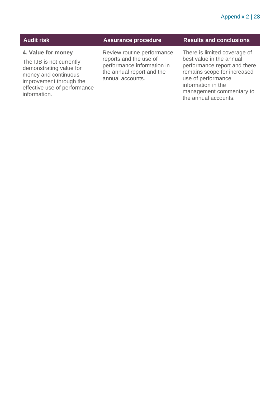#### **4. Value for money**

The IJB is not currently demonstrating value for money and continuous improvement through the effective use of performance information.

Review routine performance reports and the use of performance information in the annual report and the annual accounts.

#### **Audit risk Assurance procedure Results and conclusions**

There is limited coverage of best value in the annual performance report and there remains scope for increased use of performance information in the management commentary to the annual accounts.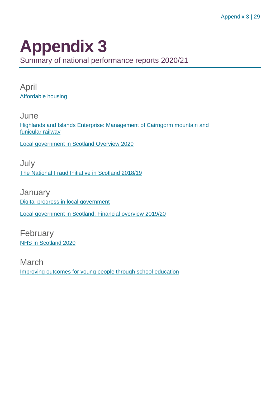## <span id="page-28-0"></span>**Appendix 3**

Summary of national performance reports 2020/21

April [Affordable housing](https://www.audit-scotland.gov.uk/report/affordable-housing)

**June** [Highlands and Islands Enterprise: Management of Cairngorm mountain and](https://www.audit-scotland.gov.uk/report/highlands-and-islands-enterprise-management-of-cairngorm-mountain-and-funicular-railway)  [funicular railway](https://www.audit-scotland.gov.uk/report/highlands-and-islands-enterprise-management-of-cairngorm-mountain-and-funicular-railway)

[Local government in Scotland Overview 2020](https://www.audit-scotland.gov.uk/report/local-government-in-scotland-overview-2020)

July [The National Fraud Initiative in Scotland 2018/19](https://www.audit-scotland.gov.uk/report/the-national-fraud-initiative-in-scotland-201819)

**January** [Digital progress in local government](https://www.audit-scotland.gov.uk/report/digital-progress-in-local-government) [Local government in Scotland: Financial overview 2019/20](https://www.audit-scotland.gov.uk/report/local-government-in-scotland-financial-overview-201920)

February [NHS in Scotland 2020](https://www.audit-scotland.gov.uk/report/nhs-in-scotland-2020)

March [Improving outcomes for young people through school education](https://www.audit-scotland.gov.uk/report/improving-outcomes-for-young-people-through-school-education)